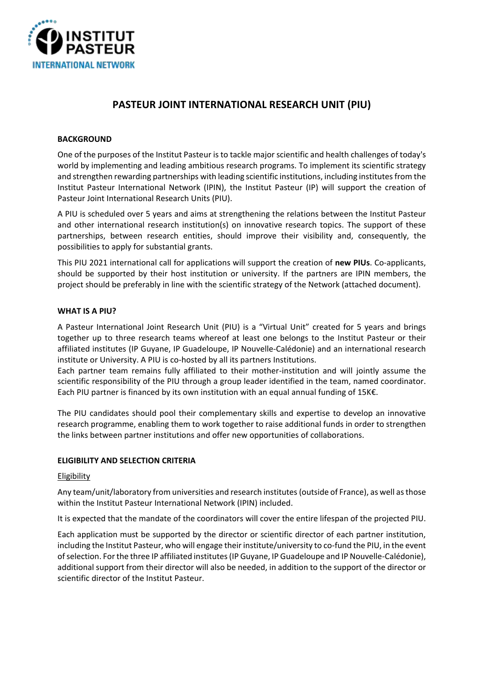

# **PASTEUR JOINT INTERNATIONAL RESEARCH UNIT (PIU)**

# **BACKGROUND**

One of the purposes of the Institut Pasteur is to tackle major scientific and health challenges of today's world by implementing and leading ambitious research programs. To implement its scientific strategy and strengthen rewarding partnerships with leading scientific institutions, including institutes from the Institut Pasteur International Network (IPIN), the Institut Pasteur (IP) will support the creation of Pasteur Joint International Research Units (PIU).

A PIU is scheduled over 5 years and aims at strengthening the relations between the Institut Pasteur and other international research institution(s) on innovative research topics. The support of these partnerships, between research entities, should improve their visibility and, consequently, the possibilities to apply for substantial grants.

This PIU 2021 international call for applications will support the creation of **new PIUs**. Co-applicants, should be supported by their host institution or university. If the partners are IPIN members, the project should be preferably in line with the scientific strategy of the Network (attached document).

# **WHAT IS A PIU?**

A Pasteur International Joint Research Unit (PIU) is a "Virtual Unit" created for 5 years and brings together up to three research teams whereof at least one belongs to the Institut Pasteur or their affiliated institutes (IP Guyane, IP Guadeloupe, IP Nouvelle-Calédonie) and an international research institute or University. A PIU is co-hosted by all its partners Institutions.

Each partner team remains fully affiliated to their mother-institution and will jointly assume the scientific responsibility of the PIU through a group leader identified in the team, named coordinator. Each PIU partner is financed by its own institution with an equal annual funding of 15K€.

The PIU candidates should pool their complementary skills and expertise to develop an innovative research programme, enabling them to work together to raise additional funds in order to strengthen the links between partner institutions and offer new opportunities of collaborations.

# **ELIGIBILITY AND SELECTION CRITERIA**

# **Eligibility**

Any team/unit/laboratory from universities and research institutes(outside of France), as well as those within the Institut Pasteur International Network (IPIN) included.

It is expected that the mandate of the coordinators will cover the entire lifespan of the projected PIU.

Each application must be supported by the director or scientific director of each partner institution, including the Institut Pasteur, who will engage their institute/university to co-fund the PIU, in the event of selection. For the three IP affiliated institutes (IP Guyane, IP Guadeloupe and IP Nouvelle-Calédonie), additional support from their director will also be needed, in addition to the support of the director or scientific director of the Institut Pasteur.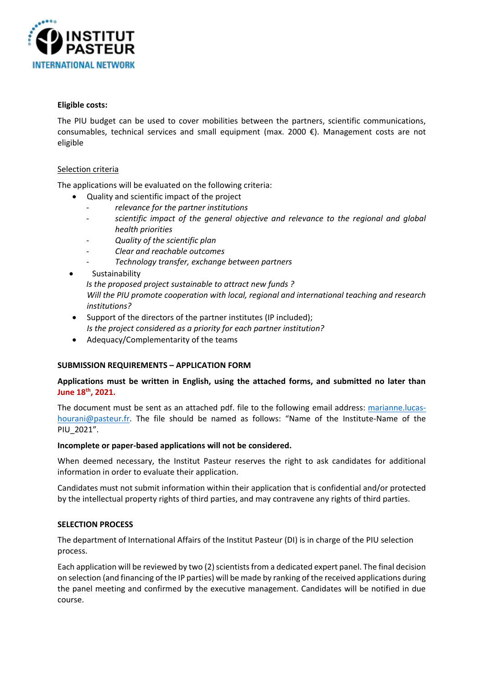

#### **Eligible costs:**

The PIU budget can be used to cover mobilities between the partners, scientific communications, consumables, technical services and small equipment (max. 2000 €). Management costs are not eligible

# Selection criteria

The applications will be evaluated on the following criteria:

- Quality and scientific impact of the project
	- *relevance for the partner institutions*
	- *scientific impact of the general objective and relevance to the regional and global health priorities*
	- *Quality of the scientific plan*
	- *Clear and reachable outcomes*
	- *Technology transfer, exchange between partners*
- Sustainability *Is the proposed project sustainable to attract new funds ? Will the PIU promote cooperation with local, regional and international teaching and research institutions?*
- Support of the directors of the partner institutes (IP included); *Is the project considered as a priority for each partner institution?*
- Adequacy/Complementarity of the teams

# **SUBMISSION REQUIREMENTS – APPLICATION FORM**

# **Applications must be written in English, using the attached forms, and submitted no later than June 18th, 2021.**

The document must be sent as an attached pdf. file to the following email address: [marianne.lucas](mailto:marianne.lucas-hourani@pasteur.fr)[hourani@pasteur.fr](mailto:marianne.lucas-hourani@pasteur.fr). The file should be named as follows: "Name of the Institute-Name of the PIU\_2021".

# **Incomplete or paper-based applications will not be considered.**

When deemed necessary, the Institut Pasteur reserves the right to ask candidates for additional information in order to evaluate their application.

Candidates must not submit information within their application that is confidential and/or protected by the intellectual property rights of third parties, and may contravene any rights of third parties.

# **SELECTION PROCESS**

The department of International Affairs of the Institut Pasteur (DI) is in charge of the PIU selection process.

Each application will be reviewed by two (2) scientists from a dedicated expert panel. The final decision on selection (and financing of the IP parties) will be made by ranking of the received applications during the panel meeting and confirmed by the executive management. Candidates will be notified in due course.